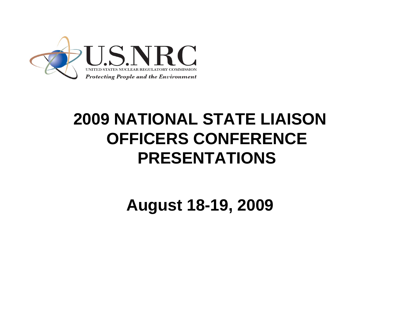

## **2009 NATIONAL STATE LIAISON OFFICERS CONFERENCE PRESENTATIONS**

**August 18-19, 2009**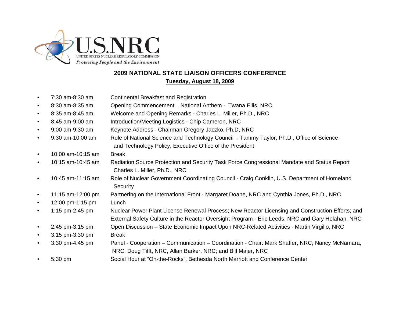

## **2009 NATIONAL STATE LIAISON OFFICERS CONFERENCETuesday, August 18, 2009**

- 7:30 am-8:30 am Continental Breakfast and Registration
- 8:30 am-8:35 am Opening Commencement National Anthem Twana Ellis, NRC
- 8:35 am-8:45 am Welcome and Opening Remarks Charles L. Miller, Ph.D., NRC
- 8:45 am-9:00 am Introduction/Meeting Logistics Chip Cameron, NRC
- 9:00 am-9:30 am Keynote Address Chairman Gregory Jaczko, Ph.D, NRC
- 9:30 am-10:00 am Role of National Science and Technology Council Tammy Taylor, Ph.D., Office of Science and Technology Policy, Executive Office of the President
- 10:00 am-10:15 am Break
- 10:15 am-10:45 am Radiation Source Protection and Security Task Force Congressional Mandate and Status Report Charles L. Miller, Ph.D., NRC
- 10:45 am-11:15 am Role of Nuclear Government Coordinating Council Craig Conklin, U.S. Department of Homeland **Security**
- 11:15 am-12:00 pm Partnering on the International Front Margaret Doane, NRC and Cynthia Jones, Ph.D., NRC
- $\bullet$  12:00 pm-1:15 pm Lunch
- 1:15 pm-2:45 pm Nuclear Power Plant License Renewal Process; New Reactor Licensing and Construction Efforts; and External Safety Culture in the Reactor Oversight Program - Eric Leeds, NRC and Gary Holahan, NRC • 2:45 pm-3:15 pm Open Discussion – State Economic Impact Upon NRC-Related Activities - Martin Virgilio, NRC
- 
- 3:15 pm-3:30 pm Break
- 3:30 pm-4:45 pm Panel Cooperation Communication Coordination Chair: Mark Shaffer, NRC; Nancy McNamara,
- NRC; Doug Tifft, NRC, Allan Barker, NRC; and Bill Maier, NRC
- 5:30 pm Social Hour at "On-the-Rocks", Bethesda North Marriott and Conference Center